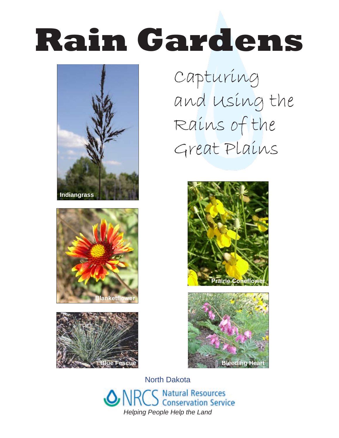# **Rain Gardens**







Capturing and Using the Rains of the Great Plains





North Dakota **Natural Resources Conservation Service** *Helping People Help the Land*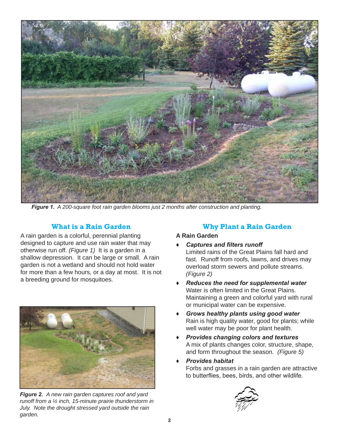

*Figure 1. A 200-square foot rain garden blooms just 2 months after construction and planting.*

# **What is a Rain Garden**

A rain garden is a colorful, perennial planting designed to capture and use rain water that may otherwise run off. *(Figure 1)* It is a garden in a shallow depression. It can be large or small. A rain garden is not a wetland and should not hold water for more than a few hours, or a day at most. It is not a breeding ground for mosquitoes.



*Figure 2. A new rain garden captures roof and yard runoff from a ½ inch, 15-minute prairie thunderstorm in July. Note the drought stressed yard outside the rain garden.*

# **Why Plant a Rain Garden**

## **A Rain Garden**

- *♦ Captures and filters runoff* Limited rains of the Great Plains fall hard and fast. Runoff from roofs, lawns, and drives may overload storm sewers and pollute streams. *(Figure 2)*
- *♦ Reduces the need for supplemental water* Water is often limited in the Great Plains. Maintaining a green and colorful yard with rural or municipal water can be expensive.
- *♦ Grows healthy plants using good water* Rain is high quality water, good for plants; while well water may be poor for plant health.
- *♦ Provides changing colors and textures* A mix of plants changes color, structure, shape, and form throughout the season. *(Figure 5)*
- *♦ Provides habitat*
	- Forbs and grasses in a rain garden are attractive to butterflies, bees, birds, and other wildlife.

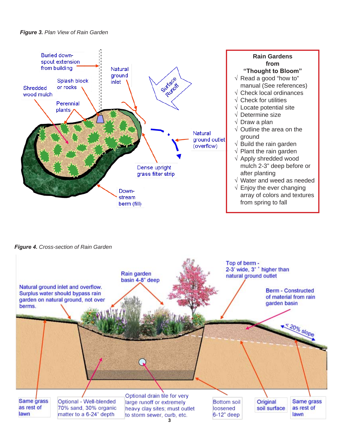#### *Figure 3. Plan View of Rain Garden*



*Figure 4. Cross-section of Rain Garden*

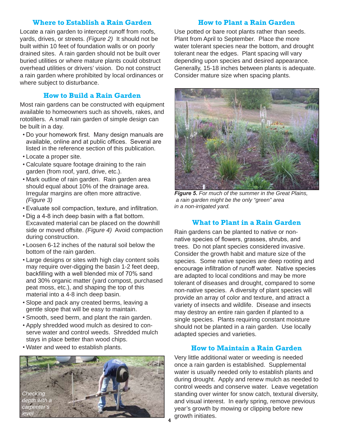## **Where to Establish a Rain Garden**

Locate a rain garden to intercept runoff from roofs, yards, drives, or streets. *(Figure 2)* It should not be built within 10 feet of foundation walls or on poorly drained sites. A rain garden should not be built over buried utilities or where mature plants could obstruct overhead utilities or drivers' vision. Do not construct a rain garden where prohibited by local ordinances or where subject to disturbance.

## **How to Build a Rain Garden**

Most rain gardens can be constructed with equipment available to homeowners such as shovels, rakes, and rototillers. A small rain garden of simple design can be built in a day.

- Do your homework first. Many design manuals are available, online and at public offices. Several are listed in the reference section of this publication.
- Locate a proper site.
- Calculate square footage draining to the rain garden (from roof, yard, drive, etc.).
- Mark outline of rain garden. Rain garden area should equal about 10% of the drainage area. Irregular margins are often more attractive. *(Figure 3)*
- Evaluate soil compaction, texture, and infiltration.
- Dig a 4-8 inch deep basin with a flat bottom. Excavated material can be placed on the downhill side or moved offsite. *(Figure 4)* Avoid compaction during construction.
- Loosen 6-12 inches of the natural soil below the bottom of the rain garden.
- Large designs or sites with high clay content soils may require over-digging the basin 1-2 feet deep, backfilling with a well blended mix of 70% sand and 30% organic matter (yard compost, purchased peat moss, etc.), and shaping the top of this material into a 4-8 inch deep basin.
- Slope and pack any created berms, leaving a gentle slope that will be easy to maintain.
- Smooth, seed berm, and plant the rain garden.
- Apply shredded wood mulch as desired to conserve water and control weeds. Shredded mulch stays in place better than wood chips.
- Water and weed to establish plants.



## **How to Plant a Rain Garden**

Use potted or bare root plants rather than seeds. Plant from April to September. Place the more water tolerant species near the bottom, and drought tolerant near the edges. Plant spacing will vary depending upon species and desired appearance. Generally, 15-18 inches between plants is adequate. Consider mature size when spacing plants.



*Figure 5. For much of the summer in the Great Plains, a rain garden might be the only "green" area in a non-irrigated yard.*

## **What to Plant in a Rain Garden**

Rain gardens can be planted to native or nonnative species of flowers, grasses, shrubs, and trees. Do not plant species considered invasive. Consider the growth habit and mature size of the species. Some native species are deep rooting and encourage infiltration of runoff water. Native species are adapted to local conditions and may be more tolerant of diseases and drought, compared to some non-native species. A diversity of plant species will provide an array of color and texture, and attract a variety of insects and wildlife. Disease and insects may destroy an entire rain garden if planted to a single species. Plants requiring constant moisture should not be planted in a rain garden. Use locally adapted species and varieties.

## **How to Maintain a Rain Garden**

Very little additional water or weeding is needed once a rain garden is established. Supplemental water is usually needed only to establish plants and during drought. Apply and renew mulch as needed to control weeds and conserve water. Leave vegetation standing over winter for snow catch, textural diversity, and visual interest. In early spring, remove previous year's growth by mowing or clipping before new growth initiates. **4**